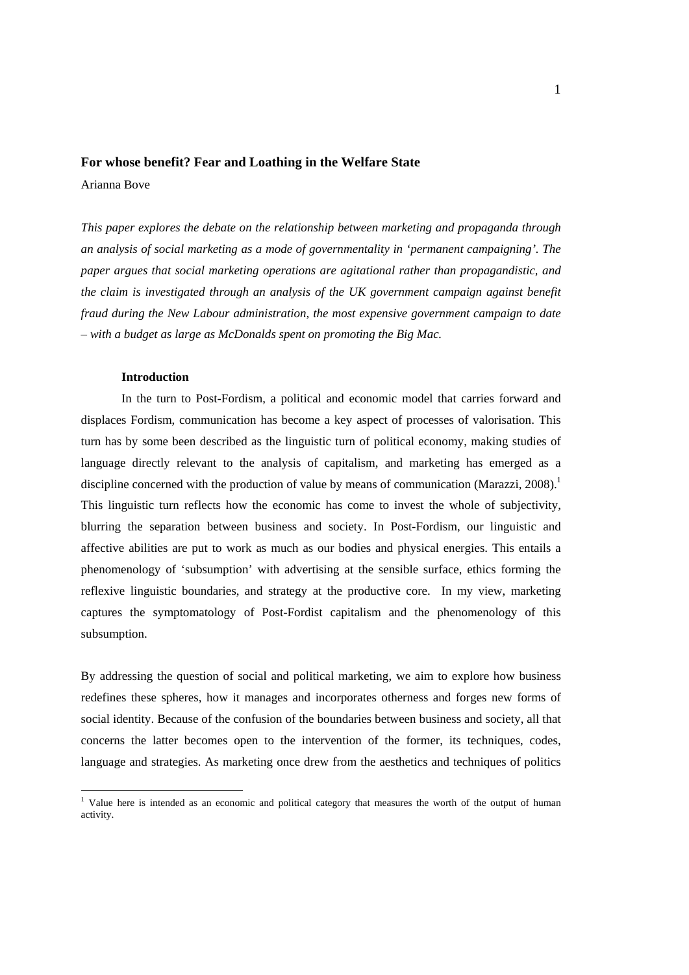# **For whose benefit? Fear and Loathing in the Welfare State**

Arianna Bove

-

*This paper explores the debate on the relationship between marketing and propaganda through an analysis of social marketing as a mode of governmentality in 'permanent campaigning'. The paper argues that social marketing operations are agitational rather than propagandistic, and the claim is investigated through an analysis of the UK government campaign against benefit fraud during the New Labour administration, the most expensive government campaign to date – with a budget as large as McDonalds spent on promoting the Big Mac.* 

### **Introduction**

In the turn to Post-Fordism, a political and economic model that carries forward and displaces Fordism, communication has become a key aspect of processes of valorisation. This turn has by some been described as the linguistic turn of political economy, making studies of language directly relevant to the analysis of capitalism, and marketing has emerged as a discipline concerned with the production of value by means of communication (Marazzi,  $2008$ ).<sup>1</sup> This linguistic turn reflects how the economic has come to invest the whole of subjectivity, blurring the separation between business and society. In Post-Fordism, our linguistic and affective abilities are put to work as much as our bodies and physical energies. This entails a phenomenology of 'subsumption' with advertising at the sensible surface, ethics forming the reflexive linguistic boundaries, and strategy at the productive core. In my view, marketing captures the symptomatology of Post-Fordist capitalism and the phenomenology of this subsumption.

By addressing the question of social and political marketing, we aim to explore how business redefines these spheres, how it manages and incorporates otherness and forges new forms of social identity. Because of the confusion of the boundaries between business and society, all that concerns the latter becomes open to the intervention of the former, its techniques, codes, language and strategies. As marketing once drew from the aesthetics and techniques of politics

<sup>&</sup>lt;sup>1</sup> Value here is intended as an economic and political category that measures the worth of the output of human activity.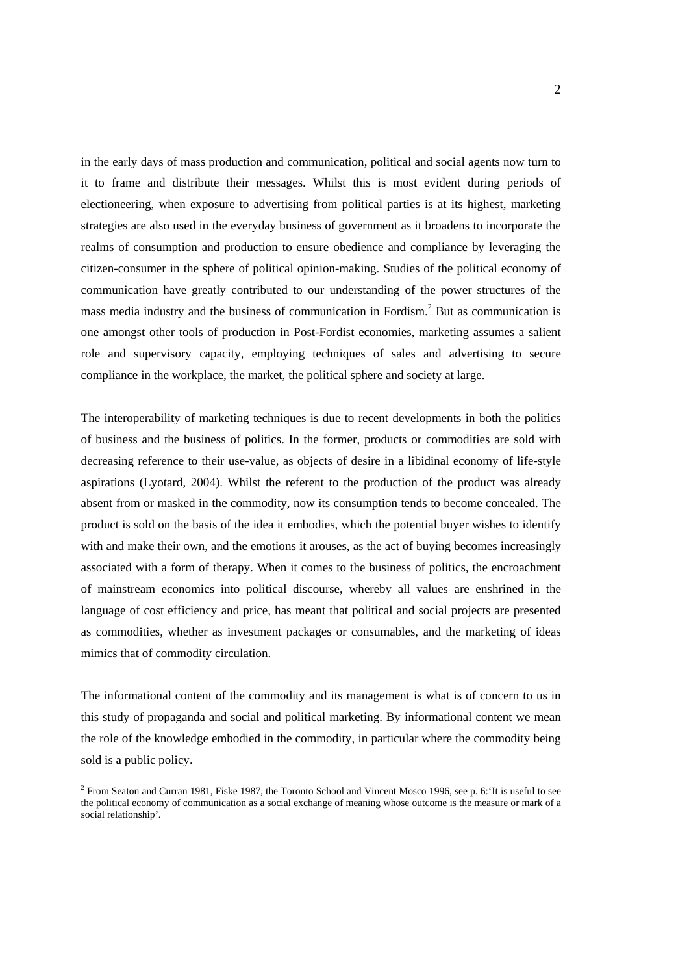in the early days of mass production and communication, political and social agents now turn to it to frame and distribute their messages. Whilst this is most evident during periods of electioneering, when exposure to advertising from political parties is at its highest, marketing strategies are also used in the everyday business of government as it broadens to incorporate the realms of consumption and production to ensure obedience and compliance by leveraging the citizen-consumer in the sphere of political opinion-making. Studies of the political economy of communication have greatly contributed to our understanding of the power structures of the mass media industry and the business of communication in Fordism.<sup>2</sup> But as communication is one amongst other tools of production in Post-Fordist economies, marketing assumes a salient role and supervisory capacity, employing techniques of sales and advertising to secure compliance in the workplace, the market, the political sphere and society at large.

The interoperability of marketing techniques is due to recent developments in both the politics of business and the business of politics. In the former, products or commodities are sold with decreasing reference to their use-value, as objects of desire in a libidinal economy of life-style aspirations (Lyotard, 2004). Whilst the referent to the production of the product was already absent from or masked in the commodity, now its consumption tends to become concealed. The product is sold on the basis of the idea it embodies, which the potential buyer wishes to identify with and make their own, and the emotions it arouses, as the act of buying becomes increasingly associated with a form of therapy. When it comes to the business of politics, the encroachment of mainstream economics into political discourse, whereby all values are enshrined in the language of cost efficiency and price, has meant that political and social projects are presented as commodities, whether as investment packages or consumables, and the marketing of ideas mimics that of commodity circulation.

The informational content of the commodity and its management is what is of concern to us in this study of propaganda and social and political marketing. By informational content we mean the role of the knowledge embodied in the commodity, in particular where the commodity being sold is a public policy.

-

<sup>&</sup>lt;sup>2</sup> From Seaton and Curran 1981, Fiske 1987, the Toronto School and Vincent Mosco 1996, see p. 6: 'It is useful to see the political economy of communication as a social exchange of meaning whose outcome is the measure or mark of a social relationship'.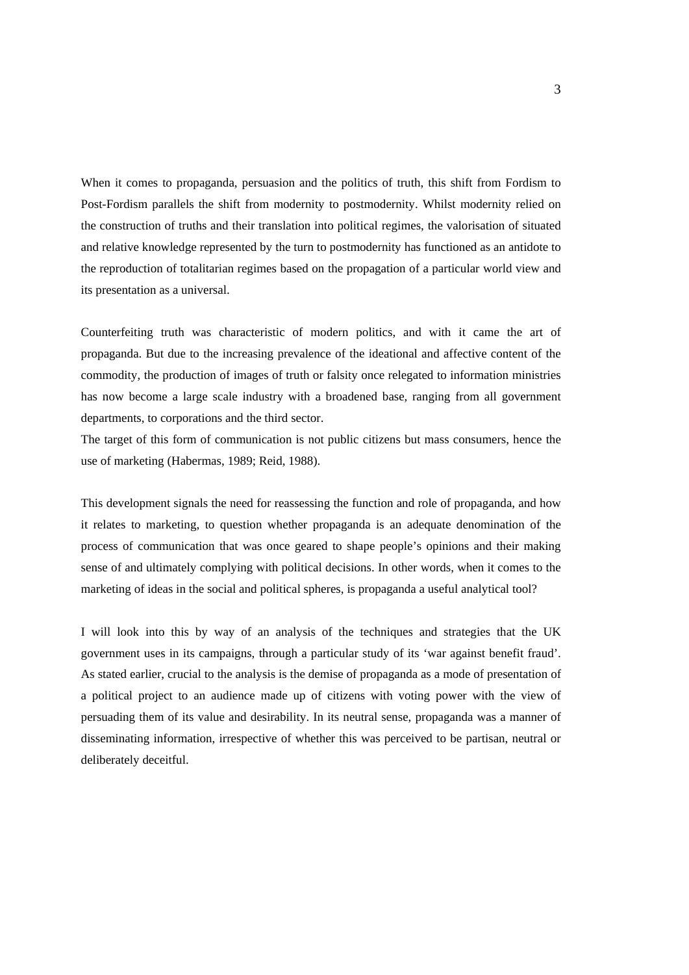When it comes to propaganda, persuasion and the politics of truth, this shift from Fordism to Post-Fordism parallels the shift from modernity to postmodernity. Whilst modernity relied on the construction of truths and their translation into political regimes, the valorisation of situated and relative knowledge represented by the turn to postmodernity has functioned as an antidote to the reproduction of totalitarian regimes based on the propagation of a particular world view and its presentation as a universal.

Counterfeiting truth was characteristic of modern politics, and with it came the art of propaganda. But due to the increasing prevalence of the ideational and affective content of the commodity, the production of images of truth or falsity once relegated to information ministries has now become a large scale industry with a broadened base, ranging from all government departments, to corporations and the third sector.

The target of this form of communication is not public citizens but mass consumers, hence the use of marketing (Habermas, 1989; Reid, 1988).

This development signals the need for reassessing the function and role of propaganda, and how it relates to marketing, to question whether propaganda is an adequate denomination of the process of communication that was once geared to shape people's opinions and their making sense of and ultimately complying with political decisions. In other words, when it comes to the marketing of ideas in the social and political spheres, is propaganda a useful analytical tool?

I will look into this by way of an analysis of the techniques and strategies that the UK government uses in its campaigns, through a particular study of its 'war against benefit fraud'. As stated earlier, crucial to the analysis is the demise of propaganda as a mode of presentation of a political project to an audience made up of citizens with voting power with the view of persuading them of its value and desirability. In its neutral sense, propaganda was a manner of disseminating information, irrespective of whether this was perceived to be partisan, neutral or deliberately deceitful.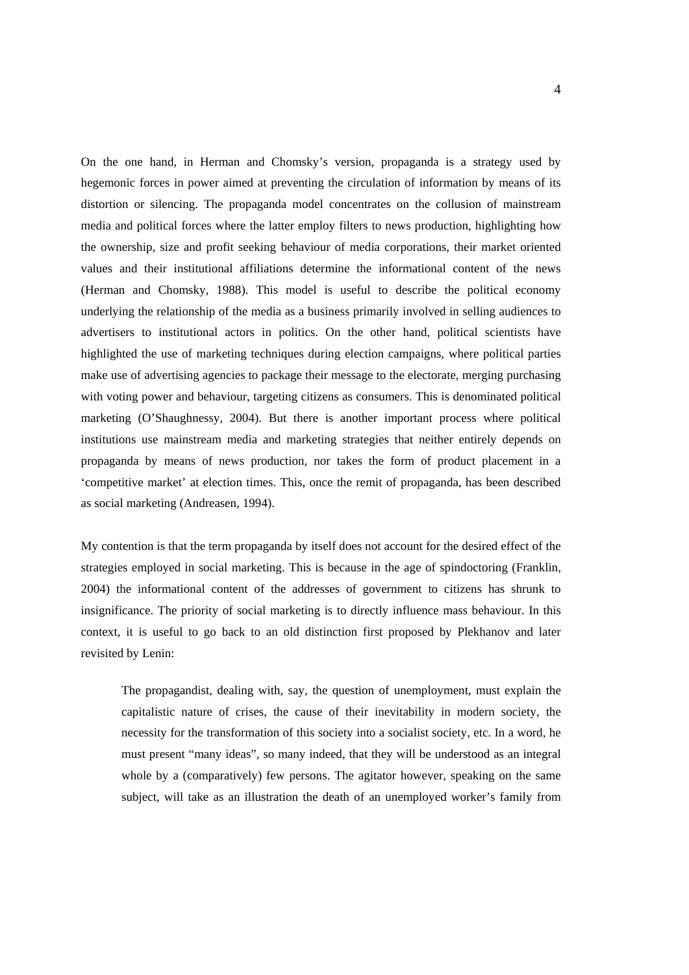On the one hand, in Herman and Chomsky's version, propaganda is a strategy used by hegemonic forces in power aimed at preventing the circulation of information by means of its distortion or silencing. The propaganda model concentrates on the collusion of mainstream media and political forces where the latter employ filters to news production, highlighting how the ownership, size and profit seeking behaviour of media corporations, their market oriented values and their institutional affiliations determine the informational content of the news (Herman and Chomsky, 1988). This model is useful to describe the political economy underlying the relationship of the media as a business primarily involved in selling audiences to advertisers to institutional actors in politics. On the other hand, political scientists have highlighted the use of marketing techniques during election campaigns, where political parties make use of advertising agencies to package their message to the electorate, merging purchasing with voting power and behaviour, targeting citizens as consumers. This is denominated political marketing (O'Shaughnessy, 2004). But there is another important process where political institutions use mainstream media and marketing strategies that neither entirely depends on propaganda by means of news production, nor takes the form of product placement in a 'competitive market' at election times. This, once the remit of propaganda, has been described as social marketing (Andreasen, 1994).

My contention is that the term propaganda by itself does not account for the desired effect of the strategies employed in social marketing. This is because in the age of spindoctoring (Franklin, 2004) the informational content of the addresses of government to citizens has shrunk to insignificance. The priority of social marketing is to directly influence mass behaviour. In this context, it is useful to go back to an old distinction first proposed by Plekhanov and later revisited by Lenin:

The propagandist, dealing with, say, the question of unemployment, must explain the capitalistic nature of crises, the cause of their inevitability in modern society, the necessity for the transformation of this society into a socialist society, etc. In a word, he must present "many ideas", so many indeed, that they will be understood as an integral whole by a (comparatively) few persons. The agitator however, speaking on the same subject, will take as an illustration the death of an unemployed worker's family from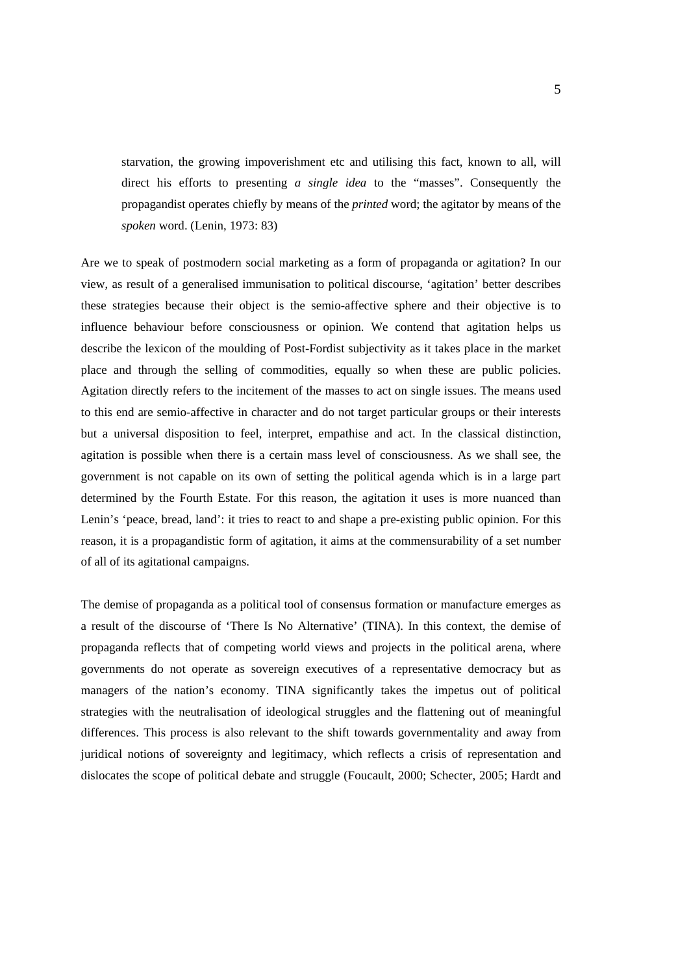starvation, the growing impoverishment etc and utilising this fact, known to all, will direct his efforts to presenting *a single idea* to the "masses". Consequently the propagandist operates chiefly by means of the *printed* word; the agitator by means of the *spoken* word. (Lenin, 1973: 83)

Are we to speak of postmodern social marketing as a form of propaganda or agitation? In our view, as result of a generalised immunisation to political discourse, 'agitation' better describes these strategies because their object is the semio-affective sphere and their objective is to influence behaviour before consciousness or opinion. We contend that agitation helps us describe the lexicon of the moulding of Post-Fordist subjectivity as it takes place in the market place and through the selling of commodities, equally so when these are public policies. Agitation directly refers to the incitement of the masses to act on single issues. The means used to this end are semio-affective in character and do not target particular groups or their interests but a universal disposition to feel, interpret, empathise and act. In the classical distinction, agitation is possible when there is a certain mass level of consciousness. As we shall see, the government is not capable on its own of setting the political agenda which is in a large part determined by the Fourth Estate. For this reason, the agitation it uses is more nuanced than Lenin's 'peace, bread, land': it tries to react to and shape a pre-existing public opinion. For this reason, it is a propagandistic form of agitation, it aims at the commensurability of a set number of all of its agitational campaigns.

The demise of propaganda as a political tool of consensus formation or manufacture emerges as a result of the discourse of 'There Is No Alternative' (TINA). In this context, the demise of propaganda reflects that of competing world views and projects in the political arena, where governments do not operate as sovereign executives of a representative democracy but as managers of the nation's economy. TINA significantly takes the impetus out of political strategies with the neutralisation of ideological struggles and the flattening out of meaningful differences. This process is also relevant to the shift towards governmentality and away from juridical notions of sovereignty and legitimacy, which reflects a crisis of representation and dislocates the scope of political debate and struggle (Foucault, 2000; Schecter, 2005; Hardt and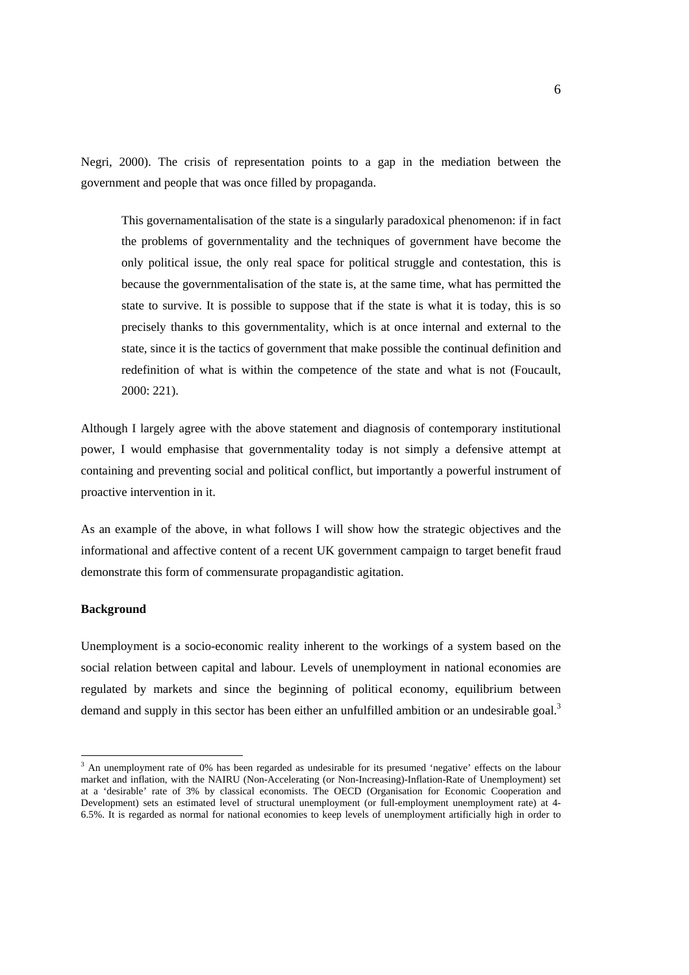Negri, 2000). The crisis of representation points to a gap in the mediation between the government and people that was once filled by propaganda.

This governamentalisation of the state is a singularly paradoxical phenomenon: if in fact the problems of governmentality and the techniques of government have become the only political issue, the only real space for political struggle and contestation, this is because the governmentalisation of the state is, at the same time, what has permitted the state to survive. It is possible to suppose that if the state is what it is today, this is so precisely thanks to this governmentality, which is at once internal and external to the state, since it is the tactics of government that make possible the continual definition and redefinition of what is within the competence of the state and what is not (Foucault, 2000: 221).

Although I largely agree with the above statement and diagnosis of contemporary institutional power, I would emphasise that governmentality today is not simply a defensive attempt at containing and preventing social and political conflict, but importantly a powerful instrument of proactive intervention in it.

As an example of the above, in what follows I will show how the strategic objectives and the informational and affective content of a recent UK government campaign to target benefit fraud demonstrate this form of commensurate propagandistic agitation.

# **Background**

1

Unemployment is a socio-economic reality inherent to the workings of a system based on the social relation between capital and labour. Levels of unemployment in national economies are regulated by markets and since the beginning of political economy, equilibrium between demand and supply in this sector has been either an unfulfilled ambition or an undesirable goal.<sup>3</sup>

<sup>&</sup>lt;sup>3</sup> An unemployment rate of 0% has been regarded as undesirable for its presumed 'negative' effects on the labour market and inflation, with the NAIRU (Non-Accelerating (or Non-Increasing)-Inflation-Rate of Unemployment) set at a 'desirable' rate of 3% by classical economists. The OECD (Organisation for Economic Cooperation and Development) sets an estimated level of structural unemployment (or full-employment unemployment rate) at 4- 6.5%. It is regarded as normal for national economies to keep levels of unemployment artificially high in order to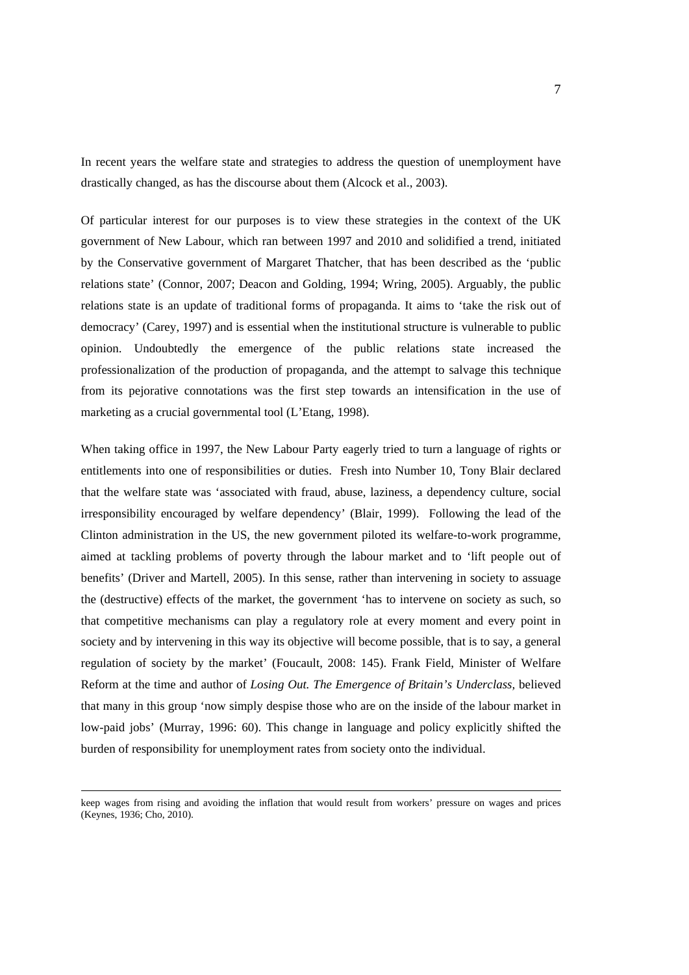In recent years the welfare state and strategies to address the question of unemployment have drastically changed, as has the discourse about them (Alcock et al., 2003).

Of particular interest for our purposes is to view these strategies in the context of the UK government of New Labour, which ran between 1997 and 2010 and solidified a trend, initiated by the Conservative government of Margaret Thatcher, that has been described as the 'public relations state' (Connor, 2007; Deacon and Golding, 1994; Wring, 2005). Arguably, the public relations state is an update of traditional forms of propaganda. It aims to 'take the risk out of democracy' (Carey, 1997) and is essential when the institutional structure is vulnerable to public opinion. Undoubtedly the emergence of the public relations state increased the professionalization of the production of propaganda, and the attempt to salvage this technique from its pejorative connotations was the first step towards an intensification in the use of marketing as a crucial governmental tool (L'Etang, 1998).

When taking office in 1997, the New Labour Party eagerly tried to turn a language of rights or entitlements into one of responsibilities or duties. Fresh into Number 10, Tony Blair declared that the welfare state was 'associated with fraud, abuse, laziness, a dependency culture, social irresponsibility encouraged by welfare dependency' (Blair, 1999). Following the lead of the Clinton administration in the US, the new government piloted its welfare-to-work programme, aimed at tackling problems of poverty through the labour market and to 'lift people out of benefits' (Driver and Martell, 2005). In this sense, rather than intervening in society to assuage the (destructive) effects of the market, the government 'has to intervene on society as such, so that competitive mechanisms can play a regulatory role at every moment and every point in society and by intervening in this way its objective will become possible, that is to say, a general regulation of society by the market' (Foucault, 2008: 145). Frank Field, Minister of Welfare Reform at the time and author of *Losing Out. The Emergence of Britain's Underclass,* believed that many in this group 'now simply despise those who are on the inside of the labour market in low-paid jobs' (Murray, 1996: 60). This change in language and policy explicitly shifted the burden of responsibility for unemployment rates from society onto the individual.

keep wages from rising and avoiding the inflation that would result from workers' pressure on wages and prices (Keynes, 1936; Cho, 2010).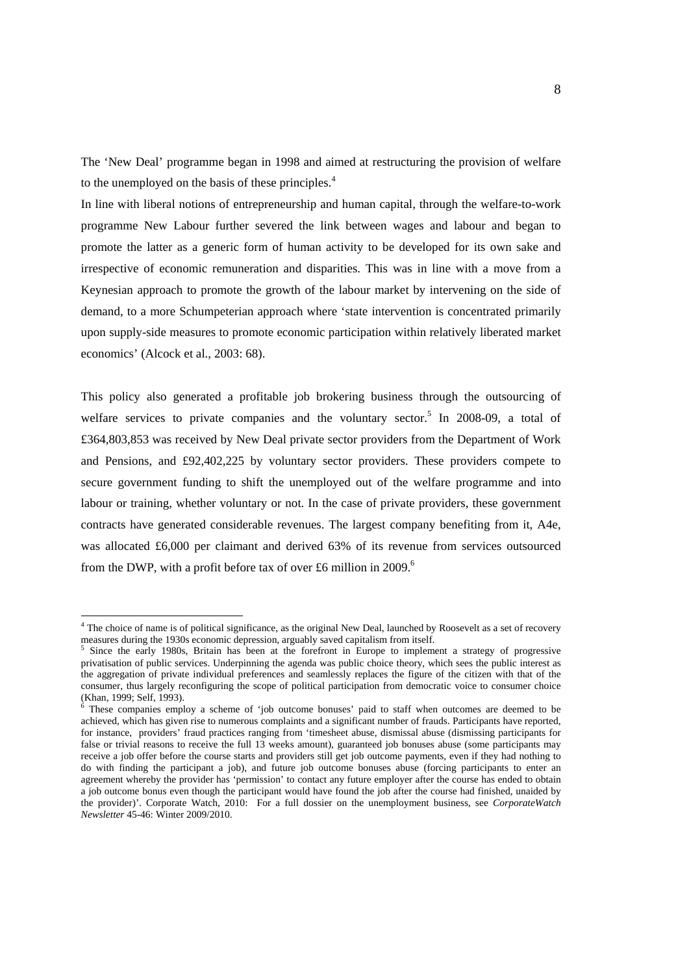The 'New Deal' programme began in 1998 and aimed at restructuring the provision of welfare to the unemployed on the basis of these principles. $4$ 

In line with liberal notions of entrepreneurship and human capital, through the welfare-to-work programme New Labour further severed the link between wages and labour and began to promote the latter as a generic form of human activity to be developed for its own sake and irrespective of economic remuneration and disparities. This was in line with a move from a Keynesian approach to promote the growth of the labour market by intervening on the side of demand, to a more Schumpeterian approach where 'state intervention is concentrated primarily upon supply-side measures to promote economic participation within relatively liberated market economics' (Alcock et al., 2003: 68).

This policy also generated a profitable job brokering business through the outsourcing of welfare services to private companies and the voluntary sector.<sup>5</sup> In 2008-09, a total of £364,803,853 was received by New Deal private sector providers from the Department of Work and Pensions, and £92,402,225 by voluntary sector providers. These providers compete to secure government funding to shift the unemployed out of the welfare programme and into labour or training, whether voluntary or not. In the case of private providers, these government contracts have generated considerable revenues. The largest company benefiting from it, A4e, was allocated £6,000 per claimant and derived 63% of its revenue from services outsourced from the DWP, with a profit before tax of over £6 million in 2009.<sup>6</sup>

 $\overline{a}$ 

<sup>&</sup>lt;sup>4</sup> The choice of name is of political significance, as the original New Deal, launched by Roosevelt as a set of recovery measures during the 1930s economic depression, arguably saved capitalism from itself.

<sup>5</sup> Since the early 1980s, Britain has been at the forefront in Europe to implement a strategy of progressive privatisation of public services. Underpinning the agenda was public choice theory, which sees the public interest as the aggregation of private individual preferences and seamlessly replaces the figure of the citizen with that of the consumer, thus largely reconfiguring the scope of political participation from democratic voice to consumer choice (Khan, 1999; Self, 1993).<br><sup>6</sup> These companies empl

These companies employ a scheme of 'job outcome bonuses' paid to staff when outcomes are deemed to be achieved, which has given rise to numerous complaints and a significant number of frauds. Participants have reported, for instance, providers' fraud practices ranging from 'timesheet abuse, dismissal abuse (dismissing participants for false or trivial reasons to receive the full 13 weeks amount), guaranteed job bonuses abuse (some participants may receive a job offer before the course starts and providers still get job outcome payments, even if they had nothing to do with finding the participant a job), and future job outcome bonuses abuse (forcing participants to enter an agreement whereby the provider has 'permission' to contact any future employer after the course has ended to obtain a job outcome bonus even though the participant would have found the job after the course had finished, unaided by the provider)'. Corporate Watch, 2010: For a full dossier on the unemployment business, see *CorporateWatch Newsletter* 45-46: Winter 2009/2010.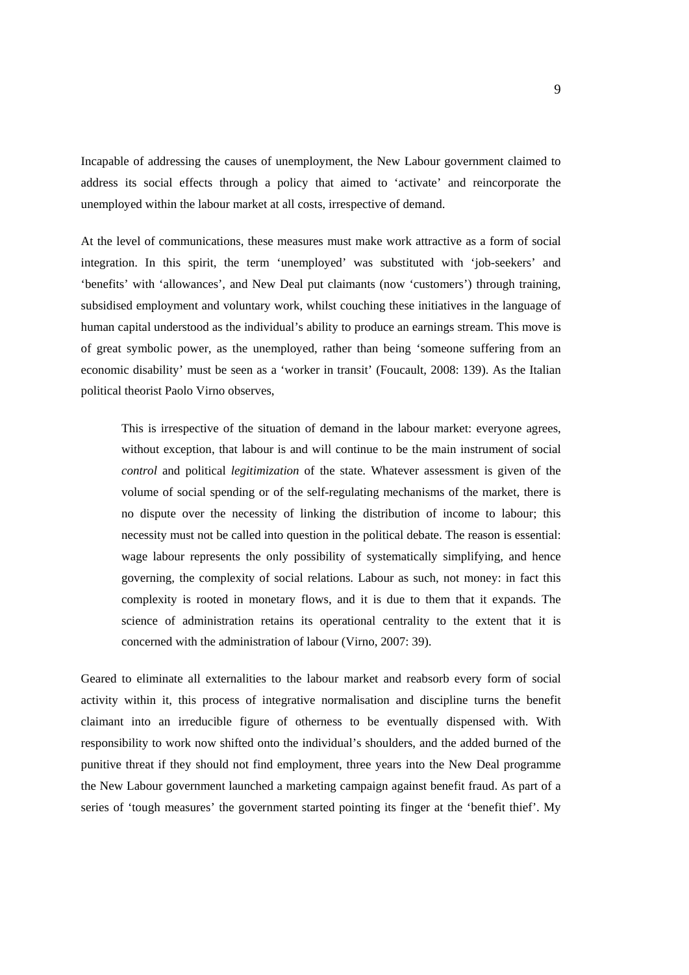Incapable of addressing the causes of unemployment, the New Labour government claimed to address its social effects through a policy that aimed to 'activate' and reincorporate the unemployed within the labour market at all costs, irrespective of demand.

At the level of communications, these measures must make work attractive as a form of social integration. In this spirit, the term 'unemployed' was substituted with 'job-seekers' and 'benefits' with 'allowances', and New Deal put claimants (now 'customers') through training, subsidised employment and voluntary work, whilst couching these initiatives in the language of human capital understood as the individual's ability to produce an earnings stream. This move is of great symbolic power, as the unemployed, rather than being 'someone suffering from an economic disability' must be seen as a 'worker in transit' (Foucault, 2008: 139). As the Italian political theorist Paolo Virno observes,

This is irrespective of the situation of demand in the labour market: everyone agrees, without exception, that labour is and will continue to be the main instrument of social *control* and political *legitimization* of the state. Whatever assessment is given of the volume of social spending or of the self-regulating mechanisms of the market, there is no dispute over the necessity of linking the distribution of income to labour; this necessity must not be called into question in the political debate. The reason is essential: wage labour represents the only possibility of systematically simplifying, and hence governing, the complexity of social relations. Labour as such, not money: in fact this complexity is rooted in monetary flows, and it is due to them that it expands. The science of administration retains its operational centrality to the extent that it is concerned with the administration of labour (Virno, 2007: 39).

Geared to eliminate all externalities to the labour market and reabsorb every form of social activity within it, this process of integrative normalisation and discipline turns the benefit claimant into an irreducible figure of otherness to be eventually dispensed with. With responsibility to work now shifted onto the individual's shoulders, and the added burned of the punitive threat if they should not find employment, three years into the New Deal programme the New Labour government launched a marketing campaign against benefit fraud. As part of a series of 'tough measures' the government started pointing its finger at the 'benefit thief'. My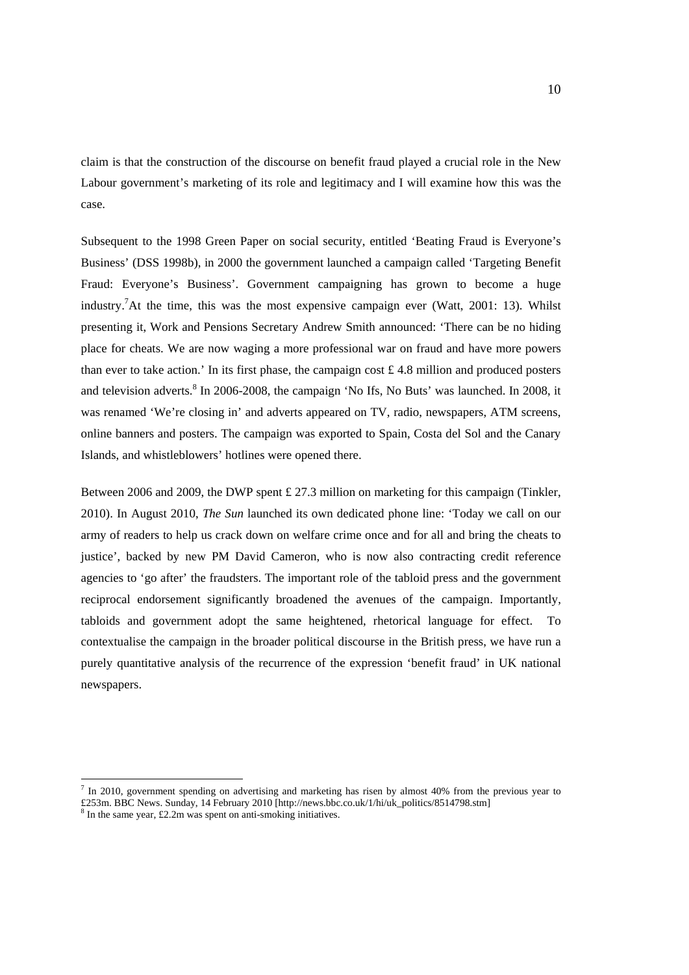claim is that the construction of the discourse on benefit fraud played a crucial role in the New Labour government's marketing of its role and legitimacy and I will examine how this was the case.

Subsequent to the 1998 Green Paper on social security, entitled 'Beating Fraud is Everyone's Business' (DSS 1998b), in 2000 the government launched a campaign called 'Targeting Benefit Fraud: Everyone's Business'. Government campaigning has grown to become a huge industry.<sup>7</sup>At the time, this was the most expensive campaign ever (Watt, 2001: 13). Whilst presenting it, Work and Pensions Secretary Andrew Smith announced: 'There can be no hiding place for cheats. We are now waging a more professional war on fraud and have more powers than ever to take action.' In its first phase, the campaign cost  $\pounds$  4.8 million and produced posters and television adverts.<sup>8</sup> In 2006-2008, the campaign 'No Ifs, No Buts' was launched. In 2008, it was renamed 'We're closing in' and adverts appeared on TV, radio, newspapers, ATM screens, online banners and posters. The campaign was exported to Spain, Costa del Sol and the Canary Islands, and whistleblowers' hotlines were opened there.

Between 2006 and 2009, the DWP spent £ 27.3 million on marketing for this campaign (Tinkler, 2010). In August 2010, *The Sun* launched its own dedicated phone line: 'Today we call on our army of readers to help us crack down on welfare crime once and for all and bring the cheats to justice', backed by new PM David Cameron, who is now also contracting credit reference agencies to 'go after' the fraudsters. The important role of the tabloid press and the government reciprocal endorsement significantly broadened the avenues of the campaign. Importantly, tabloids and government adopt the same heightened, rhetorical language for effect. To contextualise the campaign in the broader political discourse in the British press, we have run a purely quantitative analysis of the recurrence of the expression 'benefit fraud' in UK national newspapers.

-

 $<sup>7</sup>$  In 2010, government spending on advertising and marketing has risen by almost 40% from the previous year to</sup> £253m. BBC News. Sunday, 14 February 2010 [http://news.bbc.co.uk/1/hi/uk\_politics/8514798.stm] 8

 $8$  In the same year, £2.2m was spent on anti-smoking initiatives.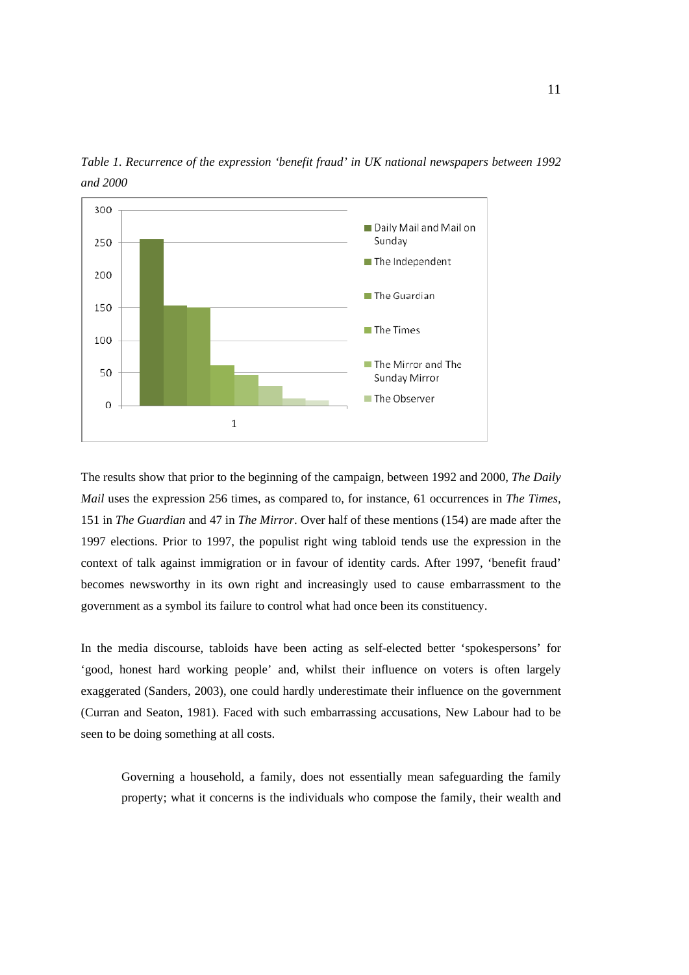

*Table 1. Recurrence of the expression 'benefit fraud' in UK national newspapers between 1992 and 2000* 

The results show that prior to the beginning of the campaign, between 1992 and 2000, *The Daily Mail* uses the expression 256 times, as compared to, for instance, 61 occurrences in *The Times,*  151 in *The Guardian* and 47 in *The Mirror*. Over half of these mentions (154) are made after the 1997 elections. Prior to 1997, the populist right wing tabloid tends use the expression in the context of talk against immigration or in favour of identity cards. After 1997, 'benefit fraud' becomes newsworthy in its own right and increasingly used to cause embarrassment to the government as a symbol its failure to control what had once been its constituency.

In the media discourse, tabloids have been acting as self-elected better 'spokespersons' for 'good, honest hard working people' and, whilst their influence on voters is often largely exaggerated (Sanders, 2003), one could hardly underestimate their influence on the government (Curran and Seaton, 1981). Faced with such embarrassing accusations, New Labour had to be seen to be doing something at all costs.

Governing a household, a family, does not essentially mean safeguarding the family property; what it concerns is the individuals who compose the family, their wealth and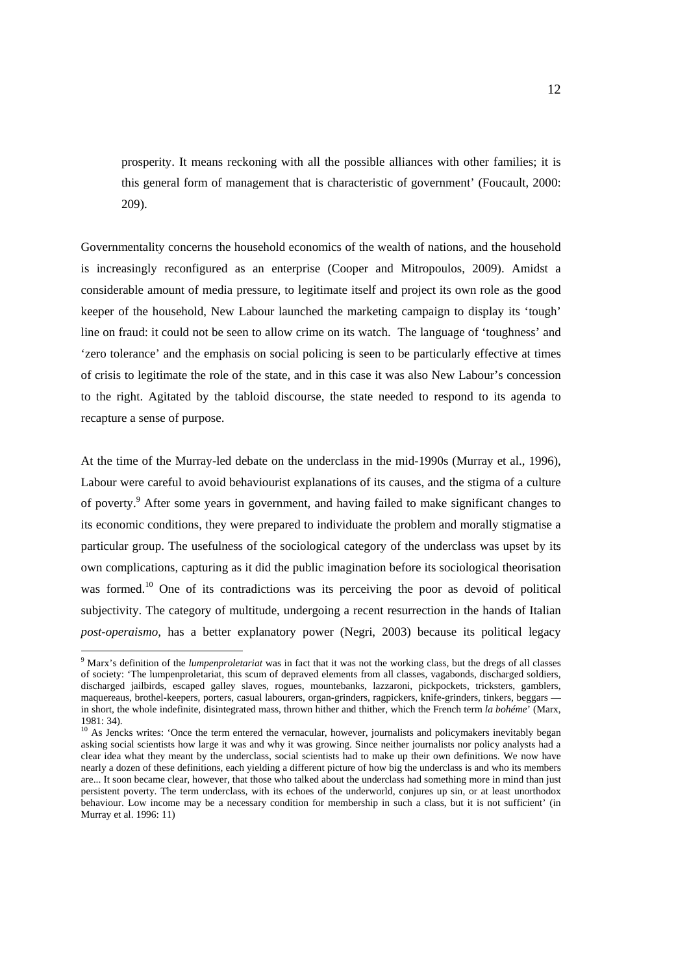prosperity. It means reckoning with all the possible alliances with other families; it is this general form of management that is characteristic of government' (Foucault, 2000: 209).

Governmentality concerns the household economics of the wealth of nations, and the household is increasingly reconfigured as an enterprise (Cooper and Mitropoulos, 2009). Amidst a considerable amount of media pressure, to legitimate itself and project its own role as the good keeper of the household, New Labour launched the marketing campaign to display its 'tough' line on fraud: it could not be seen to allow crime on its watch. The language of 'toughness' and 'zero tolerance' and the emphasis on social policing is seen to be particularly effective at times of crisis to legitimate the role of the state, and in this case it was also New Labour's concession to the right. Agitated by the tabloid discourse, the state needed to respond to its agenda to recapture a sense of purpose.

At the time of the Murray-led debate on the underclass in the mid-1990s (Murray et al., 1996), Labour were careful to avoid behaviourist explanations of its causes, and the stigma of a culture of poverty.<sup>9</sup> After some years in government, and having failed to make significant changes to its economic conditions, they were prepared to individuate the problem and morally stigmatise a particular group. The usefulness of the sociological category of the underclass was upset by its own complications, capturing as it did the public imagination before its sociological theorisation was formed.<sup>10</sup> One of its contradictions was its perceiving the poor as devoid of political subjectivity. The category of multitude, undergoing a recent resurrection in the hands of Italian *post-operaismo*, has a better explanatory power (Negri, 2003) because its political legacy

-

<sup>9</sup> Marx's definition of the *lumpenproletariat* was in fact that it was not the working class, but the dregs of all classes of society: 'The lumpenproletariat, this scum of depraved elements from all classes, vagabonds, discharged soldiers, discharged jailbirds, escaped galley slaves, rogues, mountebanks, lazzaroni, pickpockets, tricksters, gamblers, maquereaus, brothel-keepers, porters, casual labourers, organ-grinders, ragpickers, knife-grinders, tinkers, beggars in short, the whole indefinite, disintegrated mass, thrown hither and thither, which the French term *la bohéme*' (Marx,  $1981 \cdot 34$ 

<sup>&</sup>lt;sup>10</sup> As Jencks writes: 'Once the term entered the vernacular, however, journalists and policymakers inevitably began asking social scientists how large it was and why it was growing. Since neither journalists nor policy analysts had a clear idea what they meant by the underclass, social scientists had to make up their own definitions. We now have nearly a dozen of these definitions, each yielding a different picture of how big the underclass is and who its members are... It soon became clear, however, that those who talked about the underclass had something more in mind than just persistent poverty. The term underclass, with its echoes of the underworld, conjures up sin, or at least unorthodox behaviour. Low income may be a necessary condition for membership in such a class, but it is not sufficient' (in Murray et al. 1996: 11)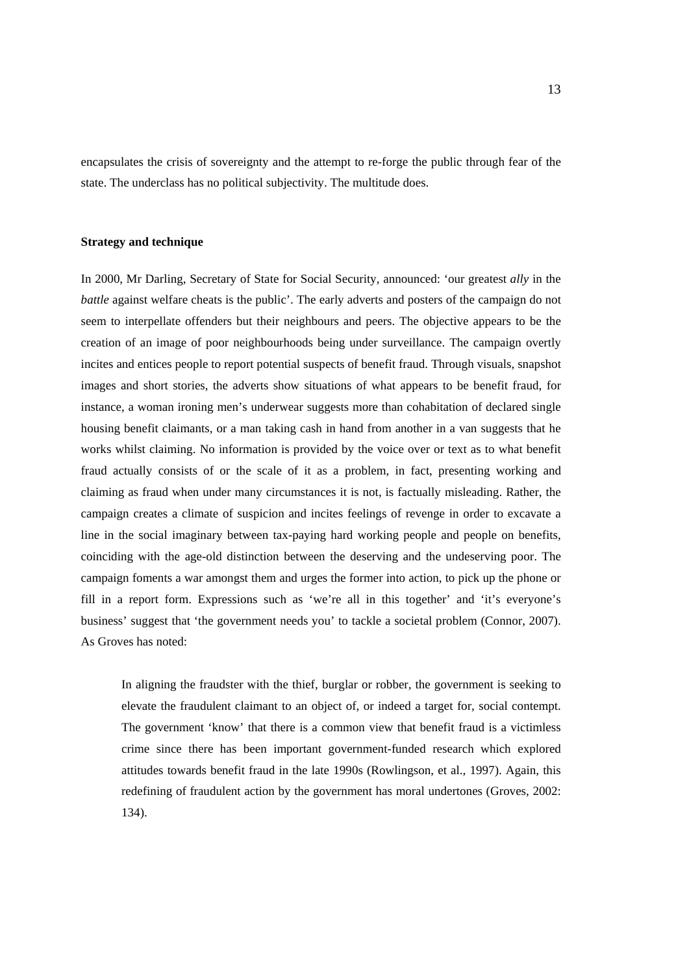encapsulates the crisis of sovereignty and the attempt to re-forge the public through fear of the state. The underclass has no political subjectivity. The multitude does.

### **Strategy and technique**

In 2000, Mr Darling, Secretary of State for Social Security, announced: 'our greatest *ally* in the *battle* against welfare cheats is the public'. The early adverts and posters of the campaign do not seem to interpellate offenders but their neighbours and peers. The objective appears to be the creation of an image of poor neighbourhoods being under surveillance. The campaign overtly incites and entices people to report potential suspects of benefit fraud. Through visuals, snapshot images and short stories, the adverts show situations of what appears to be benefit fraud, for instance, a woman ironing men's underwear suggests more than cohabitation of declared single housing benefit claimants, or a man taking cash in hand from another in a van suggests that he works whilst claiming. No information is provided by the voice over or text as to what benefit fraud actually consists of or the scale of it as a problem, in fact, presenting working and claiming as fraud when under many circumstances it is not, is factually misleading. Rather, the campaign creates a climate of suspicion and incites feelings of revenge in order to excavate a line in the social imaginary between tax-paying hard working people and people on benefits, coinciding with the age-old distinction between the deserving and the undeserving poor. The campaign foments a war amongst them and urges the former into action, to pick up the phone or fill in a report form. Expressions such as 'we're all in this together' and 'it's everyone's business' suggest that 'the government needs you' to tackle a societal problem (Connor, 2007). As Groves has noted:

In aligning the fraudster with the thief, burglar or robber, the government is seeking to elevate the fraudulent claimant to an object of, or indeed a target for, social contempt. The government 'know' that there is a common view that benefit fraud is a victimless crime since there has been important government-funded research which explored attitudes towards benefit fraud in the late 1990s (Rowlingson, et al., 1997). Again, this redefining of fraudulent action by the government has moral undertones (Groves, 2002: 134).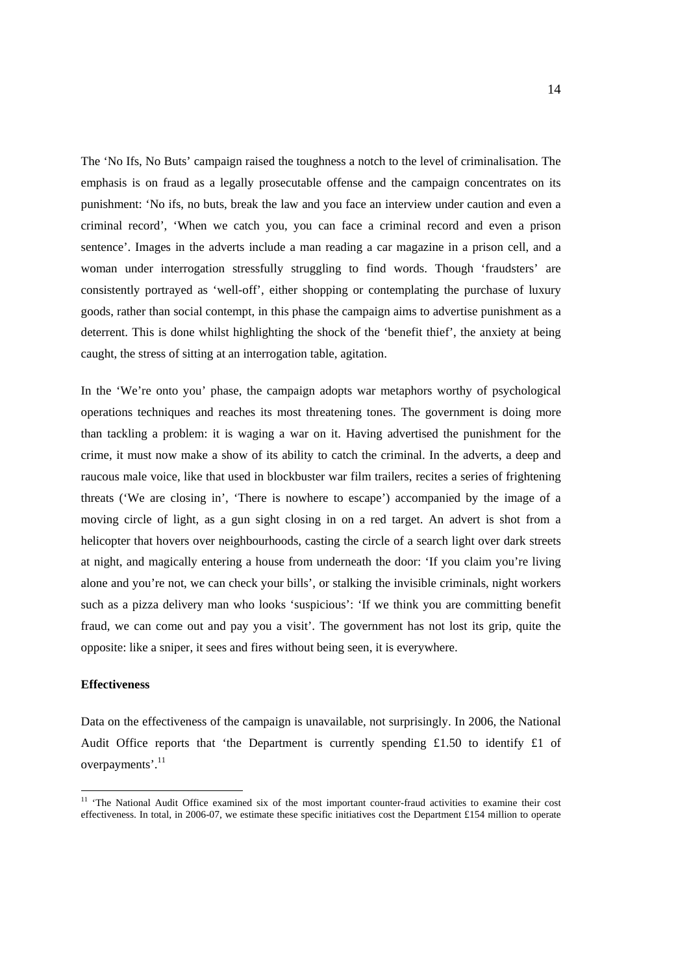The 'No Ifs, No Buts' campaign raised the toughness a notch to the level of criminalisation. The emphasis is on fraud as a legally prosecutable offense and the campaign concentrates on its punishment: 'No ifs, no buts, break the law and you face an interview under caution and even a criminal record', 'When we catch you, you can face a criminal record and even a prison sentence'. Images in the adverts include a man reading a car magazine in a prison cell, and a woman under interrogation stressfully struggling to find words. Though 'fraudsters' are consistently portrayed as 'well-off', either shopping or contemplating the purchase of luxury goods, rather than social contempt, in this phase the campaign aims to advertise punishment as a deterrent. This is done whilst highlighting the shock of the 'benefit thief', the anxiety at being caught, the stress of sitting at an interrogation table, agitation.

In the 'We're onto you' phase, the campaign adopts war metaphors worthy of psychological operations techniques and reaches its most threatening tones. The government is doing more than tackling a problem: it is waging a war on it. Having advertised the punishment for the crime, it must now make a show of its ability to catch the criminal. In the adverts, a deep and raucous male voice, like that used in blockbuster war film trailers, recites a series of frightening threats ('We are closing in', 'There is nowhere to escape') accompanied by the image of a moving circle of light, as a gun sight closing in on a red target. An advert is shot from a helicopter that hovers over neighbourhoods, casting the circle of a search light over dark streets at night, and magically entering a house from underneath the door: 'If you claim you're living alone and you're not, we can check your bills', or stalking the invisible criminals, night workers such as a pizza delivery man who looks 'suspicious': 'If we think you are committing benefit fraud, we can come out and pay you a visit'. The government has not lost its grip, quite the opposite: like a sniper, it sees and fires without being seen, it is everywhere.

### **Effectiveness**

-

Data on the effectiveness of the campaign is unavailable, not surprisingly. In 2006, the National Audit Office reports that 'the Department is currently spending £1.50 to identify £1 of overpayments'.<sup>11</sup>

<sup>&</sup>lt;sup>11</sup> 'The National Audit Office examined six of the most important counter-fraud activities to examine their cost effectiveness. In total, in 2006-07, we estimate these specific initiatives cost the Department £154 million to operate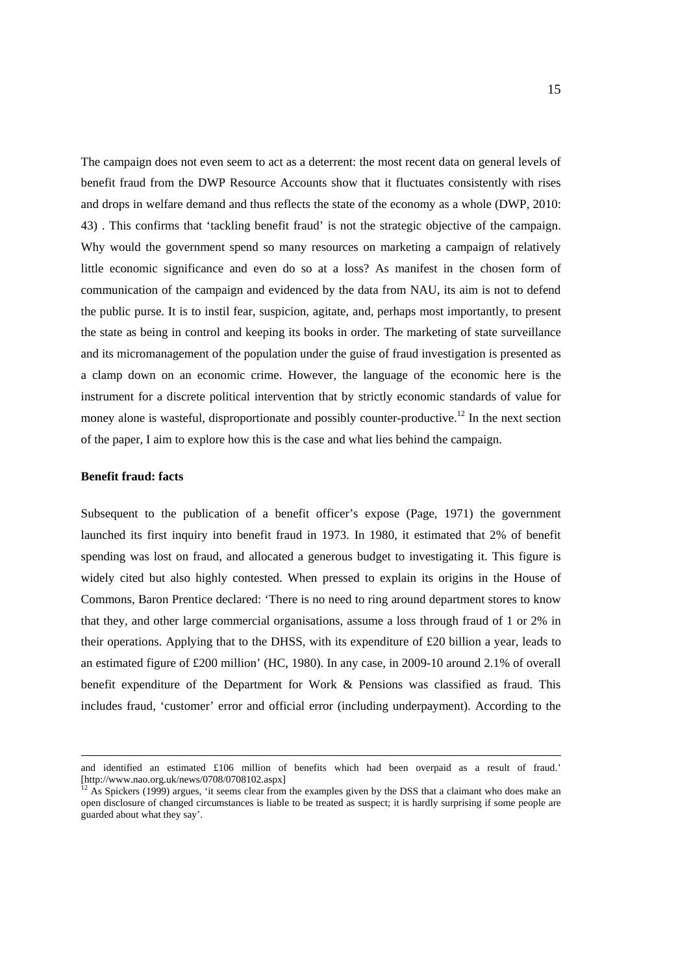The campaign does not even seem to act as a deterrent: the most recent data on general levels of benefit fraud from the DWP Resource Accounts show that it fluctuates consistently with rises and drops in welfare demand and thus reflects the state of the economy as a whole (DWP, 2010: 43) . This confirms that 'tackling benefit fraud' is not the strategic objective of the campaign. Why would the government spend so many resources on marketing a campaign of relatively little economic significance and even do so at a loss? As manifest in the chosen form of communication of the campaign and evidenced by the data from NAU, its aim is not to defend the public purse. It is to instil fear, suspicion, agitate, and, perhaps most importantly, to present the state as being in control and keeping its books in order. The marketing of state surveillance and its micromanagement of the population under the guise of fraud investigation is presented as a clamp down on an economic crime. However, the language of the economic here is the instrument for a discrete political intervention that by strictly economic standards of value for money alone is wasteful, disproportionate and possibly counter-productive.<sup>12</sup> In the next section of the paper, I aim to explore how this is the case and what lies behind the campaign.

## **Benefit fraud: facts**

Subsequent to the publication of a benefit officer's expose (Page, 1971) the government launched its first inquiry into benefit fraud in 1973. In 1980, it estimated that 2% of benefit spending was lost on fraud, and allocated a generous budget to investigating it. This figure is widely cited but also highly contested. When pressed to explain its origins in the House of Commons, Baron Prentice declared: 'There is no need to ring around department stores to know that they, and other large commercial organisations, assume a loss through fraud of 1 or 2% in their operations. Applying that to the DHSS, with its expenditure of £20 billion a year, leads to an estimated figure of £200 million' (HC, 1980). In any case, in 2009-10 around 2.1% of overall benefit expenditure of the Department for Work & Pensions was classified as fraud. This includes fraud, 'customer' error and official error (including underpayment). According to the

and identified an estimated £106 million of benefits which had been overpaid as a result of fraud.' [http://www.nao.org.uk/news/0708/0708102.aspx] 12 As Spickers (1999) argues, 'it seems clear from the examples given by the DSS that a claimant who does make an

open disclosure of changed circumstances is liable to be treated as suspect; it is hardly surprising if some people are guarded about what they say'.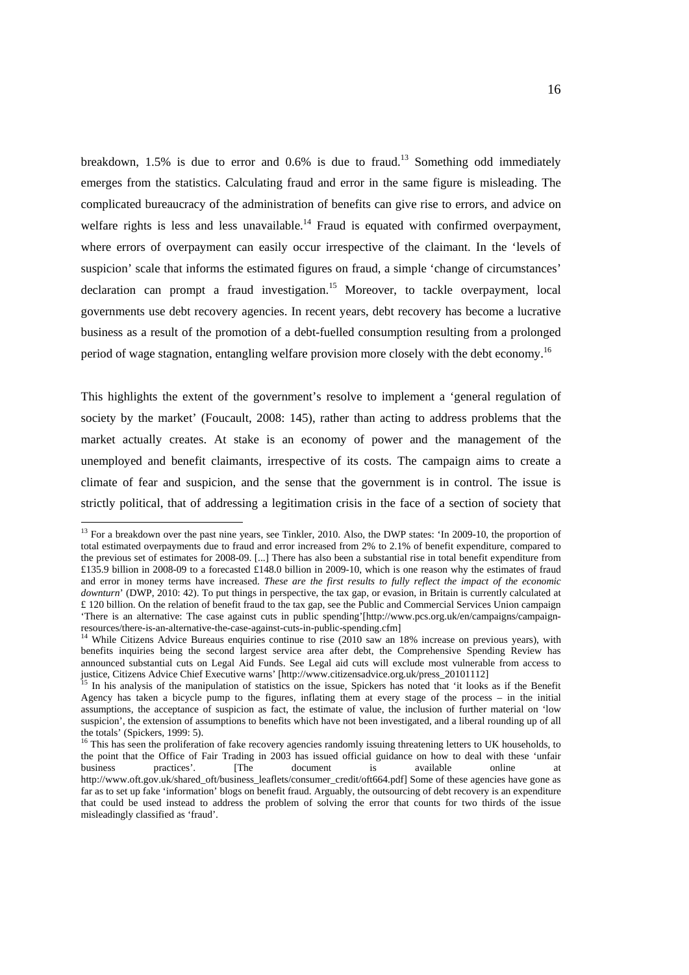breakdown,  $1.5\%$  is due to error and  $0.6\%$  is due to fraud.<sup>13</sup> Something odd immediately emerges from the statistics. Calculating fraud and error in the same figure is misleading. The complicated bureaucracy of the administration of benefits can give rise to errors, and advice on welfare rights is less and less unavailable.<sup>14</sup> Fraud is equated with confirmed overpayment, where errors of overpayment can easily occur irrespective of the claimant. In the 'levels of suspicion' scale that informs the estimated figures on fraud, a simple 'change of circumstances' declaration can prompt a fraud investigation.<sup>15</sup> Moreover, to tackle overpayment, local governments use debt recovery agencies. In recent years, debt recovery has become a lucrative business as a result of the promotion of a debt-fuelled consumption resulting from a prolonged period of wage stagnation, entangling welfare provision more closely with the debt economy.16

This highlights the extent of the government's resolve to implement a 'general regulation of society by the market' (Foucault, 2008: 145), rather than acting to address problems that the market actually creates. At stake is an economy of power and the management of the unemployed and benefit claimants, irrespective of its costs. The campaign aims to create a climate of fear and suspicion, and the sense that the government is in control. The issue is strictly political, that of addressing a legitimation crisis in the face of a section of society that

-

<sup>&</sup>lt;sup>13</sup> For a breakdown over the past nine years, see Tinkler, 2010. Also, the DWP states: 'In 2009-10, the proportion of total estimated overpayments due to fraud and error increased from 2% to 2.1% of benefit expenditure, compared to the previous set of estimates for 2008-09. [...] There has also been a substantial rise in total benefit expenditure from £135.9 billion in 2008-09 to a forecasted £148.0 billion in 2009-10, which is one reason why the estimates of fraud and error in money terms have increased. *These are the first results to fully reflect the impact of the economic downturn*' (DWP, 2010: 42). To put things in perspective, the tax gap, or evasion, in Britain is currently calculated at £ 120 billion. On the relation of benefit fraud to the tax gap, see the Public and Commercial Services Union campaign 'There is an alternative: The case against cuts in public spending'[http://www.pcs.org.uk/en/campaigns/campaign-<br>resources/there-is-an-alternative-the-case-against-cuts-in-public-spending.cfm]

<sup>&</sup>lt;sup>14</sup> While Citizens Advice Bureaus enquiries continue to rise (2010 saw an 18% increase on previous years), with benefits inquiries being the second largest service area after debt, the Comprehensive Spending Review has announced substantial cuts on Legal Aid Funds. See Legal aid cuts will exclude most vulnerable from access to justice, Citizens Advice Chief Executive warns' [http://www.citizensadvice.org.uk/press\_20101112] 15 In his analysis of the manipulation of statistics on the issue, Spickers has noted that 'it looks as if the Benefit

Agency has taken a bicycle pump to the figures, inflating them at every stage of the process – in the initial assumptions, the acceptance of suspicion as fact, the estimate of value, the inclusion of further material on 'low suspicion', the extension of assumptions to benefits which have not been investigated, and a liberal rounding up of all the totals' (Spickers, 1999: 5).

<sup>&</sup>lt;sup>16</sup> This has seen the proliferation of fake recovery agencies randomly issuing threatening letters to UK households, to the point that the Office of Fair Trading in 2003 has issued official guidance on how to deal with these 'unfair<br>business practices'. [The document is available online at business practices'. [The document is available online at http://www.oft.gov.uk/shared\_oft/business\_leaflets/consumer\_credit/oft664.pdf] Some of these agencies have gone as far as to set up fake 'information' blogs on benefit fraud. Arguably, the outsourcing of debt recovery is an expenditure that could be used instead to address the problem of solving the error that counts for two thirds of the issue misleadingly classified as 'fraud'.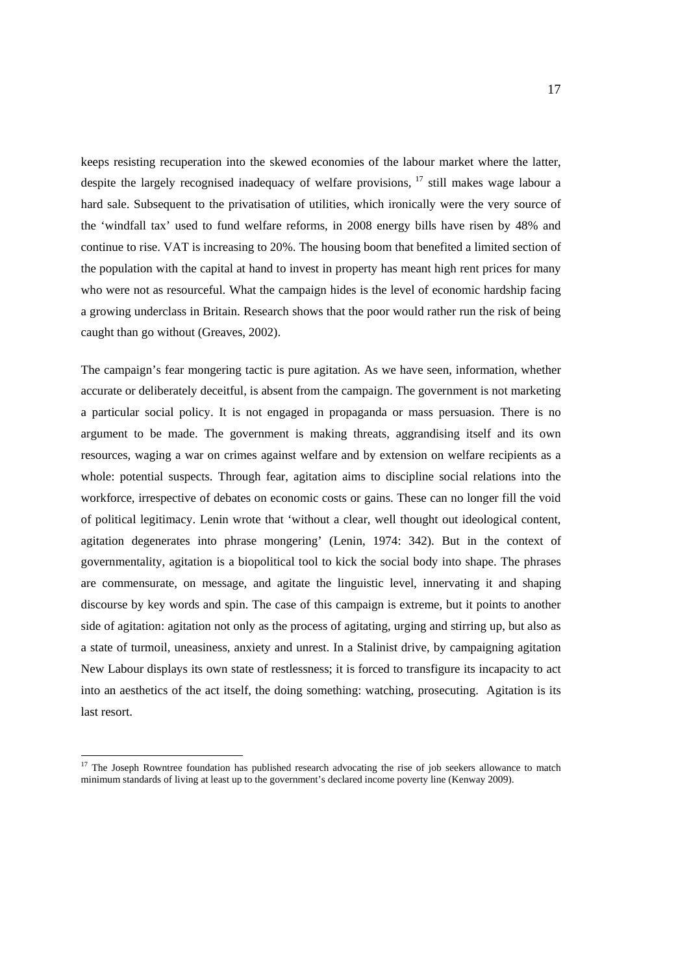keeps resisting recuperation into the skewed economies of the labour market where the latter, despite the largely recognised inadequacy of welfare provisions, <sup>17</sup> still makes wage labour a hard sale. Subsequent to the privatisation of utilities, which ironically were the very source of the 'windfall tax' used to fund welfare reforms, in 2008 energy bills have risen by 48% and continue to rise. VAT is increasing to 20%. The housing boom that benefited a limited section of the population with the capital at hand to invest in property has meant high rent prices for many who were not as resourceful. What the campaign hides is the level of economic hardship facing a growing underclass in Britain. Research shows that the poor would rather run the risk of being caught than go without (Greaves, 2002).

The campaign's fear mongering tactic is pure agitation. As we have seen, information, whether accurate or deliberately deceitful, is absent from the campaign. The government is not marketing a particular social policy. It is not engaged in propaganda or mass persuasion. There is no argument to be made. The government is making threats, aggrandising itself and its own resources, waging a war on crimes against welfare and by extension on welfare recipients as a whole: potential suspects. Through fear, agitation aims to discipline social relations into the workforce, irrespective of debates on economic costs or gains. These can no longer fill the void of political legitimacy. Lenin wrote that 'without a clear, well thought out ideological content, agitation degenerates into phrase mongering' (Lenin, 1974: 342). But in the context of governmentality, agitation is a biopolitical tool to kick the social body into shape. The phrases are commensurate, on message, and agitate the linguistic level, innervating it and shaping discourse by key words and spin. The case of this campaign is extreme, but it points to another side of agitation: agitation not only as the process of agitating, urging and stirring up, but also as a state of turmoil, uneasiness, anxiety and unrest. In a Stalinist drive, by campaigning agitation New Labour displays its own state of restlessness; it is forced to transfigure its incapacity to act into an aesthetics of the act itself, the doing something: watching, prosecuting. Agitation is its last resort.

1

<sup>&</sup>lt;sup>17</sup> The Joseph Rowntree foundation has published research advocating the rise of job seekers allowance to match minimum standards of living at least up to the government's declared income poverty line (Kenway 2009).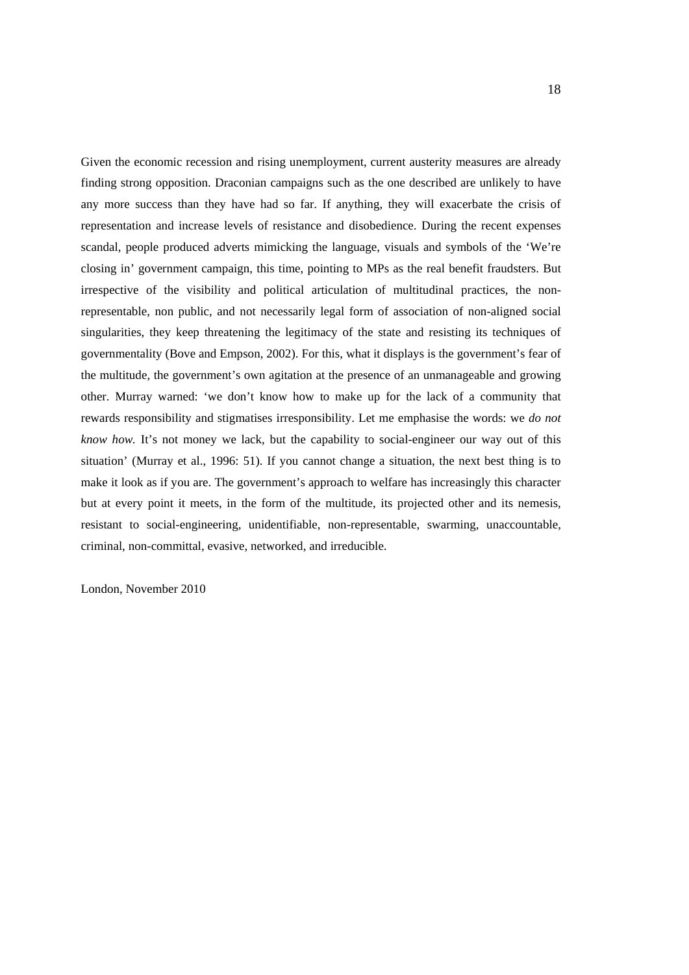Given the economic recession and rising unemployment, current austerity measures are already finding strong opposition. Draconian campaigns such as the one described are unlikely to have any more success than they have had so far. If anything, they will exacerbate the crisis of representation and increase levels of resistance and disobedience. During the recent expenses scandal, people produced adverts mimicking the language, visuals and symbols of the 'We're closing in' government campaign, this time, pointing to MPs as the real benefit fraudsters. But irrespective of the visibility and political articulation of multitudinal practices, the nonrepresentable, non public, and not necessarily legal form of association of non-aligned social singularities, they keep threatening the legitimacy of the state and resisting its techniques of governmentality (Bove and Empson, 2002). For this, what it displays is the government's fear of the multitude, the government's own agitation at the presence of an unmanageable and growing other. Murray warned: 'we don't know how to make up for the lack of a community that rewards responsibility and stigmatises irresponsibility. Let me emphasise the words: we *do not know how.* It's not money we lack, but the capability to social-engineer our way out of this situation' (Murray et al., 1996: 51). If you cannot change a situation, the next best thing is to make it look as if you are. The government's approach to welfare has increasingly this character but at every point it meets, in the form of the multitude, its projected other and its nemesis, resistant to social-engineering, unidentifiable, non-representable, swarming, unaccountable, criminal, non-committal, evasive, networked, and irreducible.

London, November 2010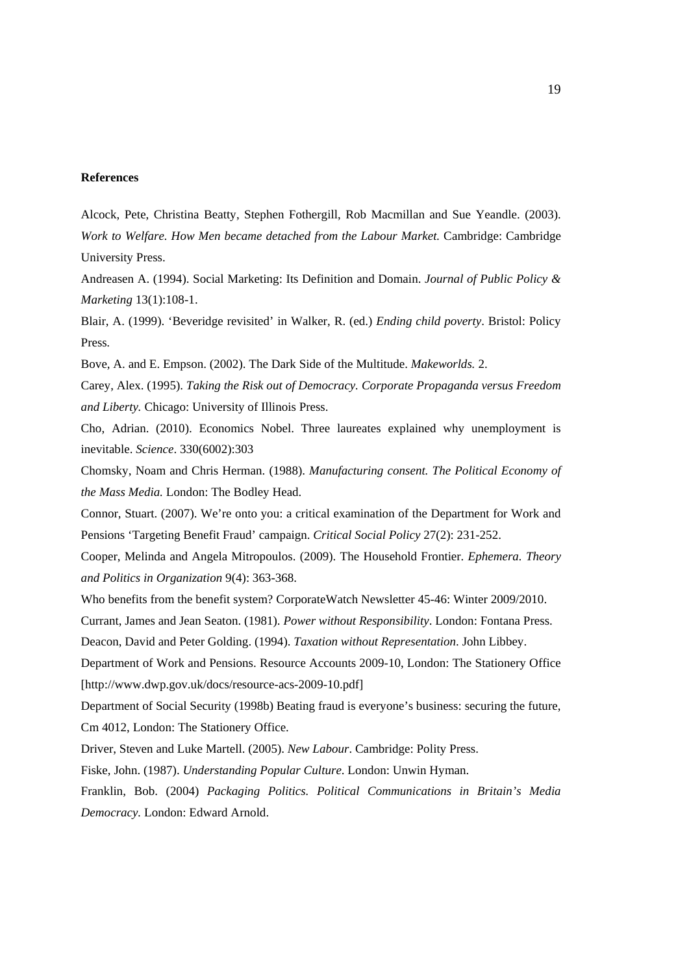#### **References**

Alcock, Pete, Christina Beatty, Stephen Fothergill, Rob Macmillan and Sue Yeandle. (2003). *Work to Welfare. How Men became detached from the Labour Market.* Cambridge: Cambridge University Press.

Andreasen A. (1994). Social Marketing: Its Definition and Domain. *Journal of Public Policy & Marketing* 13(1):108-1.

Blair, A. (1999). 'Beveridge revisited' in Walker, R. (ed.) *Ending child poverty*. Bristol: Policy Press*.* 

Bove, A. and E. Empson. (2002). The Dark Side of the Multitude. *Makeworlds.* 2.

Carey, Alex. (1995). *Taking the Risk out of Democracy. Corporate Propaganda versus Freedom and Liberty.* Chicago: University of Illinois Press.

Cho, Adrian. (2010). Economics Nobel. Three laureates explained why unemployment is inevitable. *Science*. 330(6002):303

Chomsky, Noam and Chris Herman. (1988). *Manufacturing consent. The Political Economy of the Mass Media.* London: The Bodley Head.

Connor, Stuart. (2007). We're onto you: a critical examination of the Department for Work and Pensions 'Targeting Benefit Fraud' campaign. *Critical Social Policy* 27(2): 231-252.

Cooper, Melinda and Angela Mitropoulos. (2009). The Household Frontier. *Ephemera. Theory and Politics in Organization* 9(4): 363-368.

Who benefits from the benefit system? CorporateWatch Newsletter 45-46: Winter 2009/2010.

Currant, James and Jean Seaton. (1981). *Power without Responsibility*. London: Fontana Press.

Deacon, David and Peter Golding. (1994). *Taxation without Representation*. John Libbey.

Department of Work and Pensions. Resource Accounts 2009-10, London: The Stationery Office [http://www.dwp.gov.uk/docs/resource-acs-2009-10.pdf]

Department of Social Security (1998b) Beating fraud is everyone's business: securing the future, Cm 4012, London: The Stationery Office.

Driver, Steven and Luke Martell. (2005). *New Labour*. Cambridge: Polity Press.

Fiske, John. (1987). *Understanding Popular Culture*. London: Unwin Hyman.

Franklin, Bob. (2004) *Packaging Politics. Political Communications in Britain's Media Democracy.* London: Edward Arnold.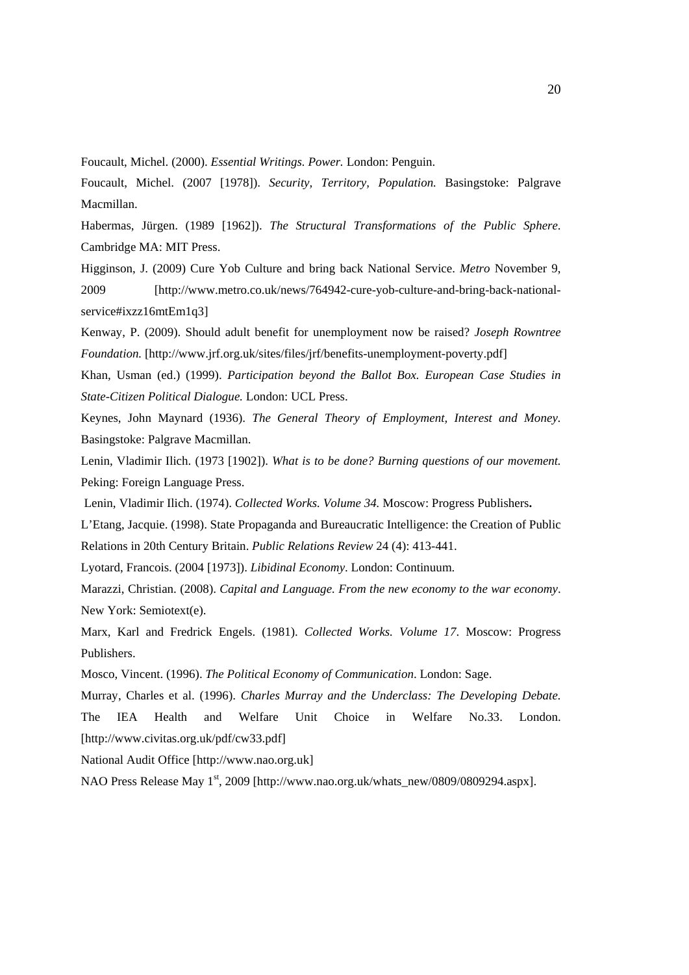Foucault, Michel. (2000). *Essential Writings. Power.* London: Penguin.

Foucault, Michel. (2007 [1978]). *Security, Territory, Population.* Basingstoke: Palgrave Macmillan.

Habermas, Jürgen. (1989 [1962]). *The Structural Transformations of the Public Sphere*. Cambridge MA: MIT Press.

Higginson, J. (2009) Cure Yob Culture and bring back National Service. *Metro* November 9, 2009 [http://www.metro.co.uk/news/764942-cure-yob-culture-and-bring-back-nationalservice#ixzz16mtEm1q3]

Kenway, P. (2009). Should adult benefit for unemployment now be raised? *Joseph Rowntree Foundation.* [http://www.jrf.org.uk/sites/files/jrf/benefits-unemployment-poverty.pdf]

Khan, Usman (ed.) (1999). *Participation beyond the Ballot Box. European Case Studies in State-Citizen Political Dialogue.* London: UCL Press.

Keynes, John Maynard (1936). *The General Theory of Employment, Interest and Money.*  Basingstoke: Palgrave Macmillan.

Lenin, Vladimir Ilich. (1973 [1902]). *What is to be done? Burning questions of our movement.*  Peking: Foreign Language Press.

Lenin, Vladimir Ilich. (1974). *Collected Works. Volume 34.* Moscow: Progress Publishers**.**

L'Etang, Jacquie. (1998). State Propaganda and Bureaucratic Intelligence: the Creation of Public

Relations in 20th Century Britain. *Public Relations Review* 24 (4): 413-441.

Lyotard, Francois. (2004 [1973]). *Libidinal Economy*. London: Continuum.

Marazzi, Christian. (2008). *Capital and Language. From the new economy to the war economy*. New York: Semiotext(e).

Marx, Karl and Fredrick Engels. (1981). *Collected Works. Volume 17*. Moscow: Progress Publishers.

Mosco, Vincent. (1996). *The Political Economy of Communication*. London: Sage.

Murray, Charles et al. (1996). *Charles Murray and the Underclass: The Developing Debate.*  The IEA Health and Welfare Unit Choice in Welfare No.33. London. [http://www.civitas.org.uk/pdf/cw33.pdf]

National Audit Office [http://www.nao.org.uk]

NAO Press Release May 1<sup>st</sup>, 2009 [http://www.nao.org.uk/whats\_new/0809/0809294.aspx].